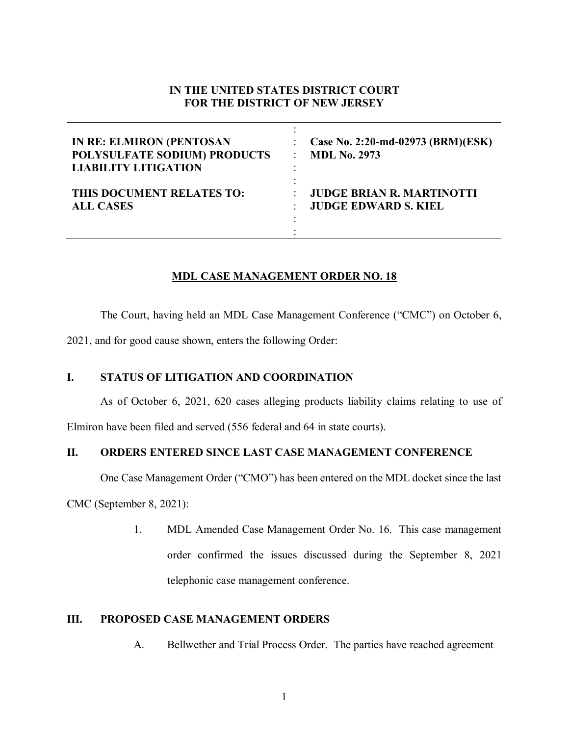# **IN THE UNITED STATES DISTRICT COURT FOR THE DISTRICT OF NEW JERSEY**

| <b>IN RE: ELMIRON (PENTOSAN</b> | Case No. 2:20-md-02973 (BRM)(ESK) |
|---------------------------------|-----------------------------------|
| POLYSULFATE SODIUM) PRODUCTS    | <b>MDL No. 2973</b>               |
| <b>LIABILITY LITIGATION</b>     | ۰                                 |
| THIS DOCUMENT RELATES TO:       | <b>JUDGE BRIAN R. MARTINOTTI</b>  |
| <b>ALL CASES</b>                | <b>JUDGE EDWARD S. KIEL</b>       |

## **MDL CASE MANAGEMENT ORDER NO. 18**

The Court, having held an MDL Case Management Conference ("CMC") on October 6,

2021, and for good cause shown, enters the following Order:

### **I. STATUS OF LITIGATION AND COORDINATION**

As of October 6, 2021, 620 cases alleging products liability claims relating to use of

Elmiron have been filed and served (556 federal and 64 in state courts).

## **II. ORDERS ENTERED SINCE LAST CASE MANAGEMENT CONFERENCE**

One Case Management Order ("CMO") has been entered on the MDL docket since the last

CMC (September 8, 2021):

1. MDL Amended Case Management Order No. 16. This case management order confirmed the issues discussed during the September 8, 2021 telephonic case management conference.

### **III. PROPOSED CASE MANAGEMENT ORDERS**

A. Bellwether and Trial Process Order. The parties have reached agreement